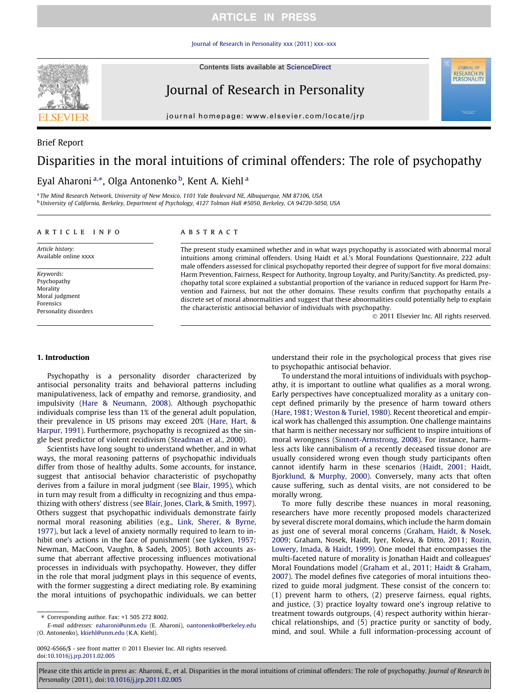## [Journal of Research in Personality xxx \(2011\) xxx–xxx](http://dx.doi.org/10.1016/j.jrp.2011.02.005)



Brief Report

Contents lists available at [ScienceDirect](http://www.sciencedirect.com/science/journal/00926566)

# Journal of Research in Personality

journal homepage: [www.elsevier.com/locate/jrp](http://www.elsevier.com/locate/jrp)

# Disparities in the moral intuitions of criminal offenders: The role of psychopathy

# Eyal Aharoni <sup>a,</sup>\*, Olga Antonenko <sup>b</sup>, Kent A. Kiehl <sup>a</sup>

<sup>a</sup> The Mind Research Network, University of New Mexico, 1101 Yale Boulevard NE, Albuquerque, NM 87106, USA <sup>b</sup> University of California, Berkeley, Department of Psychology, 4127 Tolman Hall #5050, Berkeley, CA 94720-5050, USA

## article info

Article history: Available online xxxx

Keywords: Psychopathy **Morality** Moral judgment Forensics Personality disorders

## **ARSTRACT**

The present study examined whether and in what ways psychopathy is associated with abnormal moral intuitions among criminal offenders. Using Haidt et al.'s Moral Foundations Questionnaire, 222 adult male offenders assessed for clinical psychopathy reported their degree of support for five moral domains: Harm Prevention, Fairness, Respect for Authority, Ingroup Loyalty, and Purity/Sanctity. As predicted, psychopathy total score explained a substantial proportion of the variance in reduced support for Harm Prevention and Fairness, but not the other domains. These results confirm that psychopathy entails a discrete set of moral abnormalities and suggest that these abnormalities could potentially help to explain the characteristic antisocial behavior of individuals with psychopathy.

- 2011 Elsevier Inc. All rights reserved.

**IOURNAL OF RESEARCH IN** 

## 1. Introduction

Psychopathy is a personality disorder characterized by antisocial personality traits and behavioral patterns including manipulativeness, lack of empathy and remorse, grandiosity, and impulsivity [\(Hare & Neumann, 2008\)](#page-5-0). Although psychopathic individuals comprise less than 1% of the general adult population, their prevalence in US prisons may exceed 20% ([Hare, Hart, &](#page-5-0) [Harpur, 1991\)](#page-5-0). Furthermore, psychopathy is recognized as the single best predictor of violent recidivism ([Steadman et al., 2000](#page-5-0)).

Scientists have long sought to understand whether, and in what ways, the moral reasoning patterns of psychopathic individuals differ from those of healthy adults. Some accounts, for instance, suggest that antisocial behavior characteristic of psychopathy derives from a failure in moral judgment (see [Blair, 1995\)](#page-4-0), which in turn may result from a difficulty in recognizing and thus empathizing with others' distress (see [Blair, Jones, Clark, & Smith, 1997\)](#page-4-0). Others suggest that psychopathic individuals demonstrate fairly normal moral reasoning abilities (e.g., [Link, Sherer, & Byrne,](#page-5-0) [1977\)](#page-5-0), but lack a level of anxiety normally required to learn to inhibit one's actions in the face of punishment (see [Lykken, 1957;](#page-5-0) Newman, MacCoon, Vaughn, & Sadeh, 2005). Both accounts assume that aberrant affective processing influences motivational processes in individuals with psychopathy. However, they differ in the role that moral judgment plays in this sequence of events, with the former suggesting a direct mediating role. By examining the moral intuitions of psychopathic individuals, we can better

understand their role in the psychological process that gives rise to psychopathic antisocial behavior.

To understand the moral intuitions of individuals with psychopathy, it is important to outline what qualifies as a moral wrong. Early perspectives have conceptualized morality as a unitary concept defined primarily by the presence of harm toward others ([Hare, 1981; Weston & Turiel, 1980\)](#page-4-0). Recent theoretical and empirical work has challenged this assumption. One challenge maintains that harm is neither necessary nor sufficient to inspire intuitions of moral wrongness [\(Sinnott-Armstrong, 2008\)](#page-5-0). For instance, harmless acts like cannibalism of a recently deceased tissue donor are usually considered wrong even though study participants often cannot identify harm in these scenarios ([Haidt, 2001; Haidt,](#page-4-0) [Bjorklund, & Murphy, 2000\)](#page-4-0). Conversely, many acts that often cause suffering, such as dental visits, are not considered to be morally wrong.

To more fully describe these nuances in moral reasoning, researchers have more recently proposed models characterized by several discrete moral domains, which include the harm domain as just one of several moral concerns [\(Graham, Haidt, & Nosek,](#page-4-0) [2009](#page-4-0); Graham, Nosek, Haidt, Iyer, Koleva, & Ditto, 2011; [Rozin,](#page-5-0) [Lowery, Imada, & Haidt, 1999](#page-5-0)). One model that encompasses the multi-faceted nature of morality is Jonathan Haidt and colleagues' Moral Foundations model [\(Graham et al., 2011; Haidt & Graham,](#page-4-0) [2007](#page-4-0)). The model defines five categories of moral intuitions theorized to guide moral judgment. These consist of the concern to: (1) prevent harm to others, (2) preserve fairness, equal rights, and justice, (3) practice loyalty toward one's ingroup relative to treatment towards outgroups, (4) respect authority within hierarchical relationships, and (5) practice purity or sanctity of body, mind, and soul. While a full information-processing account of

<sup>⇑</sup> Corresponding author. Fax: +1 505 272 8002.

E-mail addresses: [eaharoni@unm.edu](mailto:eaharoni@unm.edu) (E. Aharoni), [oantonenko@berkeley.edu](mailto:oantonenko@berkeley.edu) (O. Antonenko), [kkiehl@unm.edu](mailto:kkiehl@unm.edu) (K.A. Kiehl).

<sup>0092-6566/\$ -</sup> see front matter © 2011 Elsevier Inc. All rights reserved. doi[:10.1016/j.jrp.2011.02.005](http://dx.doi.org/10.1016/j.jrp.2011.02.005)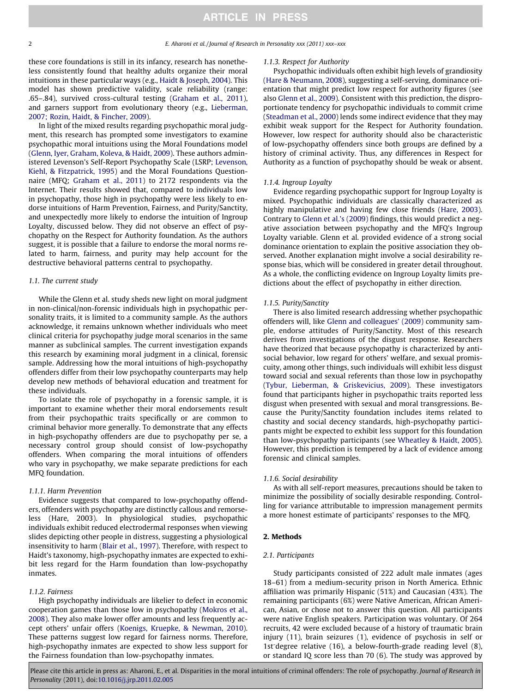these core foundations is still in its infancy, research has nonetheless consistently found that healthy adults organize their moral intuitions in these particular ways (e.g., [Haidt & Joseph, 2004](#page-4-0)). This model has shown predictive validity, scale reliability (range: .65–.84), survived cross-cultural testing ([Graham et al., 2011\)](#page-4-0), and garners support from evolutionary theory (e.g., [Lieberman,](#page-5-0) [2007; Rozin, Haidt, & Fincher, 2009\)](#page-5-0).

In light of the mixed results regarding psychopathic moral judgment, this research has prompted some investigators to examine psychopathic moral intuitions using the Moral Foundations model ([Glenn, Iyer, Graham, Koleva, & Haidt, 2009\)](#page-4-0). These authors administered Levenson's Self-Report Psychopathy Scale (LSRP; [Levenson,](#page-5-0) [Kiehl, & Fitzpatrick, 1995](#page-5-0)) and the Moral Foundations Questionnaire (MFQ; [Graham et al., 2011](#page-4-0)) to 2172 respondents via the Internet. Their results showed that, compared to individuals low in psychopathy, those high in psychopathy were less likely to endorse intuitions of Harm Prevention, Fairness, and Purity/Sanctity, and unexpectedly more likely to endorse the intuition of Ingroup Loyalty, discussed below. They did not observe an effect of psychopathy on the Respect for Authority foundation. As the authors suggest, it is possible that a failure to endorse the moral norms related to harm, fairness, and purity may help account for the destructive behavioral patterns central to psychopathy.

#### 1.1. The current study

While the Glenn et al. study sheds new light on moral judgment in non-clinical/non-forensic individuals high in psychopathic personality traits, it is limited to a community sample. As the authors acknowledge, it remains unknown whether individuals who meet clinical criteria for psychopathy judge moral scenarios in the same manner as subclinical samples. The current investigation expands this research by examining moral judgment in a clinical, forensic sample. Addressing how the moral intuitions of high-psychopathy offenders differ from their low psychopathy counterparts may help develop new methods of behavioral education and treatment for these individuals.

To isolate the role of psychopathy in a forensic sample, it is important to examine whether their moral endorsements result from their psychopathic traits specifically or are common to criminal behavior more generally. To demonstrate that any effects in high-psychopathy offenders are due to psychopathy per se, a necessary control group should consist of low-psychopathy offenders. When comparing the moral intuitions of offenders who vary in psychopathy, we make separate predictions for each MFQ foundation.

## 1.1.1. Harm Prevention

Evidence suggests that compared to low-psychopathy offenders, offenders with psychopathy are distinctly callous and remorseless (Hare, 2003). In physiological studies, psychopathic individuals exhibit reduced electrodermal responses when viewing slides depicting other people in distress, suggesting a physiological insensitivity to harm [\(Blair et al., 1997\)](#page-4-0). Therefore, with respect to Haidt's taxonomy, high-psychopathy inmates are expected to exhibit less regard for the Harm foundation than low-psychopathy inmates.

## 1.1.2. Fairness

High psychopathy individuals are likelier to defect in economic cooperation games than those low in psychopathy ([Mokros et al.,](#page-5-0) [2008\)](#page-5-0). They also make lower offer amounts and less frequently accept others' unfair offers ([Koenigs, Kruepke, & Newman, 2010\)](#page-5-0). These patterns suggest low regard for fairness norms. Therefore, high-psychopathy inmates are expected to show less support for the Fairness foundation than low-psychopathy inmates.

#### 1.1.3. Respect for Authority

Psychopathic individuals often exhibit high levels of grandiosity ([Hare & Neumann, 2008](#page-5-0)), suggesting a self-serving, dominance orientation that might predict low respect for authority figures (see also [Glenn et al., 2009](#page-4-0)). Consistent with this prediction, the disproportionate tendency for psychopathic individuals to commit crime ([Steadman et al., 2000\)](#page-5-0) lends some indirect evidence that they may exhibit weak support for the Respect for Authority foundation. However, low respect for authority should also be characteristic of low-psychopathy offenders since both groups are defined by a history of criminal activity. Thus, any differences in Respect for Authority as a function of psychopathy should be weak or absent.

## 1.1.4. Ingroup Loyalty

Evidence regarding psychopathic support for Ingroup Loyalty is mixed. Psychopathic individuals are classically characterized as highly manipulative and having few close friends [\(Hare, 2003\)](#page-4-0). Contrary to [Glenn et al.'s \(2009\)](#page-4-0) findings, this would predict a negative association between psychopathy and the MFQ's Ingroup Loyalty variable. Glenn et al. provided evidence of a strong social dominance orientation to explain the positive association they observed. Another explanation might involve a social desirability response bias, which will be considered in greater detail throughout. As a whole, the conflicting evidence on Ingroup Loyalty limits predictions about the effect of psychopathy in either direction.

## 1.1.5. Purity/Sanctity

There is also limited research addressing whether psychopathic offenders will, like [Glenn and colleagues' \(2009\)](#page-4-0) community sample, endorse attitudes of Purity/Sanctity. Most of this research derives from investigations of the disgust response. Researchers have theorized that because psychopathy is characterized by antisocial behavior, low regard for others' welfare, and sexual promiscuity, among other things, such individuals will exhibit less disgust toward social and sexual referents than those low in psychopathy ([Tybur, Lieberman, & Griskevicius, 2009\)](#page-5-0). These investigators found that participants higher in psychopathic traits reported less disgust when presented with sexual and moral transgressions. Because the Purity/Sanctity foundation includes items related to chastity and social decency standards, high-psychopathy participants might be expected to exhibit less support for this foundation than low-psychopathy participants (see [Wheatley & Haidt, 2005\)](#page-5-0). However, this prediction is tempered by a lack of evidence among forensic and clinical samples.

## 1.1.6. Social desirability

As with all self-report measures, precautions should be taken to minimize the possibility of socially desirable responding. Controlling for variance attributable to impression management permits a more honest estimate of participants' responses to the MFQ.

## 2. Methods

## 2.1. Participants

Study participants consisted of 222 adult male inmates (ages 18–61) from a medium-security prison in North America. Ethnic affiliation was primarily Hispanic (51%) and Caucasian (43%). The remaining participants (6%) were Native American, African American, Asian, or chose not to answer this question. All participants were native English speakers. Participation was voluntary. Of 264 recruits, 42 were excluded because of a history of traumatic brain injury (11), brain seizures (1), evidence of psychosis in self or 1st<sup>-</sup>degree relative (16), a below-fourth-grade reading level (8), or standard IQ score less than 70 (6). The study was approved by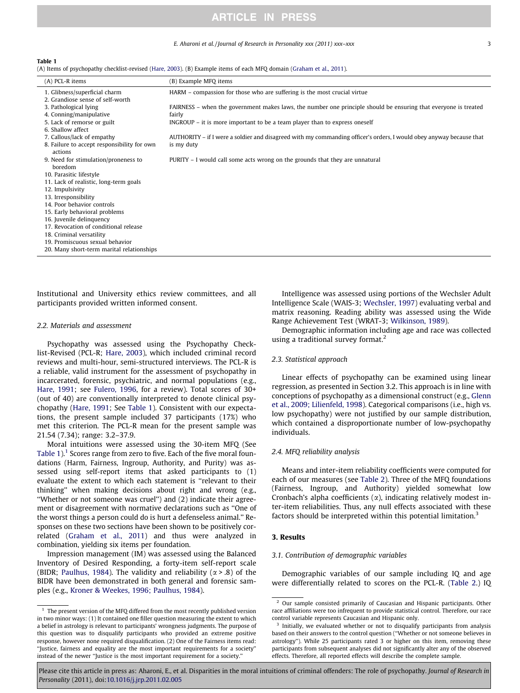## E. Aharoni et al. / Journal of Research in Personality xxx (2011) xxx–xxx 3

#### Table 1

|  |  | (A) Items of psychopathy checklist-revised (Hare, 2003). (B) Example items of each MFQ domain (Graham et al., 2011). |  |  |
|--|--|----------------------------------------------------------------------------------------------------------------------|--|--|
|  |  |                                                                                                                      |  |  |

| (A) PCL-R items                                                   | (B) Example MFQ items                                                                                               |
|-------------------------------------------------------------------|---------------------------------------------------------------------------------------------------------------------|
| 1. Glibness/superficial charm<br>2. Grandiose sense of self-worth | HARM – compassion for those who are suffering is the most crucial virtue                                            |
| 3. Pathological lying                                             | FAIRNESS – when the government makes laws, the number one principle should be ensuring that everyone is treated     |
| 4. Conning/manipulative                                           | fairly                                                                                                              |
| 5. Lack of remorse or guilt                                       | $INGROUP - it$ is more important to be a team player than to express oneself                                        |
| 6. Shallow affect                                                 |                                                                                                                     |
| 7. Callous/lack of empathy                                        | AUTHORITY – if I were a soldier and disagreed with my commanding officer's orders, I would obey anyway because that |
| 8. Failure to accept responsibility for own<br>actions            | is my duty                                                                                                          |
| 9. Need for stimulation/proneness to<br>boredom                   | PURITY – I would call some acts wrong on the grounds that they are unnatural                                        |
| 10. Parasitic lifestyle                                           |                                                                                                                     |
| 11. Lack of realistic, long-term goals                            |                                                                                                                     |
| 12. Impulsivity                                                   |                                                                                                                     |
| 13. Irresponsibility                                              |                                                                                                                     |
| 14. Poor behavior controls                                        |                                                                                                                     |
| 15. Early behavioral problems                                     |                                                                                                                     |
| 16. Juvenile delinquency                                          |                                                                                                                     |
| 17. Revocation of conditional release                             |                                                                                                                     |
| 18. Criminal versatility                                          |                                                                                                                     |
| 19. Promiscuous sexual behavior                                   |                                                                                                                     |
| 20. Many short-term marital relationships                         |                                                                                                                     |

Institutional and University ethics review committees, and all participants provided written informed consent.

#### 2.2. Materials and assessment

Psychopathy was assessed using the Psychopathy Checklist-Revised (PCL-R; [Hare, 2003](#page-4-0)), which included criminal record reviews and multi-hour, semi-structured interviews. The PCL-R is a reliable, valid instrument for the assessment of psychopathy in incarcerated, forensic, psychiatric, and normal populations (e.g., [Hare, 1991](#page-4-0); see [Fulero, 1996](#page-4-0), for a review). Total scores of 30+ (out of 40) are conventionally interpreted to denote clinical psychopathy ([Hare, 1991](#page-4-0); See Table 1). Consistent with our expectations, the present sample included 37 participants (17%) who met this criterion. The PCL-R mean for the present sample was 21.54 (7.34); range: 3.2–37.9.

Moral intuitions were assessed using the 30-item MFQ (See Table 1).<sup>1</sup> Scores range from zero to five. Each of the five moral foundations (Harm, Fairness, Ingroup, Authority, and Purity) was assessed using self-report items that asked participants to (1) evaluate the extent to which each statement is ''relevant to their thinking'' when making decisions about right and wrong (e.g., ''Whether or not someone was cruel'') and (2) indicate their agreement or disagreement with normative declarations such as ''One of the worst things a person could do is hurt a defenseless animal.'' Responses on these two sections have been shown to be positively correlated ([Graham et al., 2011\)](#page-4-0) and thus were analyzed in combination, yielding six items per foundation.

Impression management (IM) was assessed using the Balanced Inventory of Desired Responding, a forty-item self-report scale (BIDR; [Paulhus, 1984\)](#page-5-0). The validity and reliability ( $\alpha$  > .8) of the BIDR have been demonstrated in both general and forensic samples (e.g., [Kroner & Weekes, 1996; Paulhus, 1984](#page-5-0)).

Intelligence was assessed using portions of the Wechsler Adult Intelligence Scale (WAIS-3; [Wechsler, 1997](#page-5-0)) evaluating verbal and matrix reasoning. Reading ability was assessed using the Wide Range Achievement Test (WRAT-3; [Wilkinson, 1989\)](#page-5-0).

Demographic information including age and race was collected using a traditional survey format.<sup>2</sup>

## 2.3. Statistical approach

Linear effects of psychopathy can be examined using linear regression, as presented in Section 3.2. This approach is in line with conceptions of psychopathy as a dimensional construct (e.g., [Glenn](#page-4-0) [et al., 2009; Lilienfeld, 1998](#page-4-0)). Categorical comparisons (i.e., high vs. low psychopathy) were not justified by our sample distribution, which contained a disproportionate number of low-psychopathy individuals.

## 2.4. MFQ reliability analysis

Means and inter-item reliability coefficients were computed for each of our measures (see [Table 2\)](#page-3-0). Three of the MFQ foundations (Fairness, Ingroup, and Authority) yielded somewhat low Cronbach's alpha coefficients  $(\alpha)$ , indicating relatively modest inter-item reliabilities. Thus, any null effects associated with these factors should be interpreted within this potential limitation.<sup>3</sup>

## 3. Results

## 3.1. Contribution of demographic variables

Demographic variables of our sample including IQ and age were differentially related to scores on the PCL-R. [\(Table 2](#page-3-0).) IQ

<sup>1</sup> The present version of the MFQ differed from the most recently published version in two minor ways: (1) It contained one filler question measuring the extent to which a belief in astrology is relevant to participants' wrongness judgments. The purpose of this question was to disqualify participants who provided an extreme positive response, however none required disqualification. (2) One of the Fairness items read: ''Justice, fairness and equality are the most important requirements for a society'' instead of the newer ''Justice is the most important requirement for a society.''

<sup>&</sup>lt;sup>2</sup> Our sample consisted primarily of Caucasian and Hispanic participants. Other race affiliations were too infrequent to provide statistical control. Therefore, our race control variable represents Caucasian and Hispanic only.

<sup>3</sup> Initially, we evaluated whether or not to disqualify participants from analysis based on their answers to the control question (''Whether or not someone believes in astrology''). While 25 participants rated 3 or higher on this item, removing these participants from subsequent analyses did not significantly alter any of the observed effects. Therefore, all reported effects will describe the complete sample.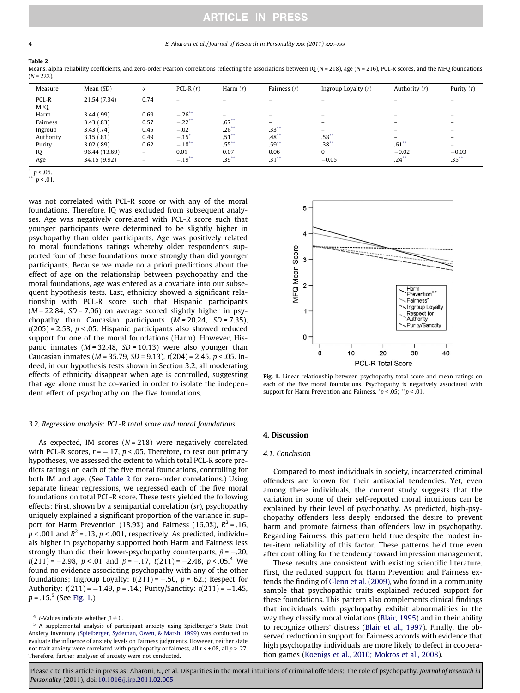#### <span id="page-3-0"></span>4 E. Aharoni et al. / Journal of Research in Personality xxx (2011) xxx–xxx

#### Table 2

Means, alpha reliability coefficients, and zero-order Pearson correlations reflecting the associations between IQ (N = 218), age (N = 216), PCL-R scores, and the MFQ foundations  $(N = 222)$ .

| Measure             | Mean $(SD)$   | α                        | PCL-R $(r)$              | Harm $(r)$               | Fairness $(r)$      | Ingroup Loyalty $(r)$    | Authority $(r)$          | Purity $(r)$ |
|---------------------|---------------|--------------------------|--------------------------|--------------------------|---------------------|--------------------------|--------------------------|--------------|
| PCL-R<br><b>MFQ</b> | 21.54 (7.34)  | 0.74                     | $\overline{\phantom{m}}$ |                          |                     | $\overline{\phantom{0}}$ |                          |              |
| Harm                | 3.44(.99)     | 0.69                     | $-.26$ <sup>**</sup>     | $\overline{\phantom{0}}$ |                     | -                        |                          |              |
| Fairness            | 3.43(.83)     | 0.57                     | $-.22$                   | $.67$ **                 |                     | $\equiv$                 | $\overline{\phantom{0}}$ |              |
| Ingroup             | 3.43(.74)     | 0.45                     | $-.02$                   | $.26***$                 | .33                 | $\overline{\phantom{0}}$ |                          |              |
| Authority           | 3.15(.81)     | 0.49                     | $-.15$                   | $.51***$                 | $.48$ <sup>**</sup> | .58                      | -                        |              |
| Purity              | 3.02(.89)     | 0.62                     | $-.18$ <sup>*</sup>      | $.55$ **                 | $.59^{*}$           | .38                      | $.61***$                 |              |
| IQ                  | 96.44 (13.69) | $\overline{\phantom{0}}$ | 0.01                     | 0.07                     | 0.06                | $\Omega$                 | $-0.02$                  | $-0.03$      |
| Age                 | 34.15 (9.92)  | $\equiv$                 | $-.19$ <sup>**</sup>     | $.39***$                 | $.31**$             | $-0.05$                  | $.24***$                 | .35          |

 $\sum_{n=1}^{8} p < 0.05$ .

 $n < .01$ .

was not correlated with PCL-R score or with any of the moral foundations. Therefore, IO was excluded from subsequent analyses. Age was negatively correlated with PCL-R score such that younger participants were determined to be slightly higher in psychopathy than older participants. Age was positively related to moral foundations ratings whereby older respondents supported four of these foundations more strongly than did younger participants. Because we made no a priori predictions about the effect of age on the relationship between psychopathy and the moral foundations, age was entered as a covariate into our subsequent hypothesis tests. Last, ethnicity showed a significant relationship with PCL-R score such that Hispanic participants  $(M = 22.84, SD = 7.06)$  on average scored slightly higher in psychopathy than Caucasian participants  $(M = 20.24, SD = 7.35)$ ,  $t(205)$  = 2.58,  $p < .05$ . Hispanic participants also showed reduced support for one of the moral foundations (Harm). However, Hispanic inmates ( $M = 32.48$ ,  $SD = 10.13$ ) were also younger than Caucasian inmates ( $M = 35.79$ ,  $SD = 9.13$ ),  $t(204) = 2.45$ ,  $p < .05$ . Indeed, in our hypothesis tests shown in Section 3.2, all moderating effects of ethnicity disappear when age is controlled, suggesting that age alone must be co-varied in order to isolate the independent effect of psychopathy on the five foundations.

#### 3.2. Regression analysis: PCL-R total score and moral foundations

As expected, IM scores  $(N = 218)$  were negatively correlated with PCL-R scores,  $r$  =  $-.17$ ,  $p$  < .05. Therefore, to test our primary hypotheses, we assessed the extent to which total PCL-R score predicts ratings on each of the five moral foundations, controlling for both IM and age. (See Table 2 for zero-order correlations.) Using separate linear regressions, we regressed each of the five moral foundations on total PCL-R score. These tests yielded the following effects: First, shown by a semipartial correlation (sr), psychopathy uniquely explained a significant proportion of the variance in support for Harm Prevention (18.9%) and Fairness (16.0%),  $R^2$  = .16,  $p < .001$  and  $R^2 = .13$ ,  $p < .001$ , respectively. As predicted, individuals higher in psychopathy supported both Harm and Fairness less strongly than did their lower-psychopathy counterparts,  $\beta$  = –.20,  $t(211) = -2.98$ ,  $p < .01$  and  $\beta = -.17$ ,  $t(211) = -2.48$ ,  $p < .05<sup>4</sup>$  We found no evidence associating psychopathy with any of the other foundations; Ingroup Loyalty:  $t(211)$ = –.50,  $p$  = .62.; Respect for Authority: t(211) = -1.49, p = .14.; Purity/Sanctity: t(211) = -1.45,  $p = .15<sup>5</sup>$  (See Fig. 1.)



Fig. 1. Linear relationship between psychopathy total score and mean ratings on each of the five moral foundations. Psychopathy is negatively associated with support for Harm Prevention and Fairness.  $\sp{\ast} p \lt .05; \sp{\ast\ast} p \lt .01$ .

## 4. Discussion

## 4.1. Conclusion

Compared to most individuals in society, incarcerated criminal offenders are known for their antisocial tendencies. Yet, even among these individuals, the current study suggests that the variation in some of their self-reported moral intuitions can be explained by their level of psychopathy. As predicted, high-psychopathy offenders less deeply endorsed the desire to prevent harm and promote fairness than offenders low in psychopathy. Regarding Fairness, this pattern held true despite the modest inter-item reliability of this factor. These patterns held true even after controlling for the tendency toward impression management.

These results are consistent with existing scientific literature. First, the reduced support for Harm Prevention and Fairness extends the finding of [Glenn et al. \(2009\),](#page-4-0) who found in a community sample that psychopathic traits explained reduced support for these foundations. This pattern also complements clinical findings that individuals with psychopathy exhibit abnormalities in the way they classify moral violations ([Blair, 1995\)](#page-4-0) and in their ability to recognize others' distress ([Blair et al., 1997](#page-4-0)). Finally, the observed reduction in support for Fairness accords with evidence that high psychopathy individuals are more likely to defect in cooperation games [\(Koenigs et al., 2010; Mokros et al., 2008](#page-5-0)).

 $\overline{4}$  t-Values indicate whether  $\beta \neq 0$ .

<sup>5</sup> A supplemental analysis of participant anxiety using Spielberger's State Trait Anxiety Inventory ([Spielberger, Sydeman, Owen, & Marsh, 1999\)](#page-5-0) was conducted to evaluate the influence of anxiety levels on Fairness judgments. However, neither state nor trait anxiety were correlated with psychopathy or fairness, all  $r < \pm .08$ , all  $p > .27$ . Therefore, further analyses of anxiety were not conducted.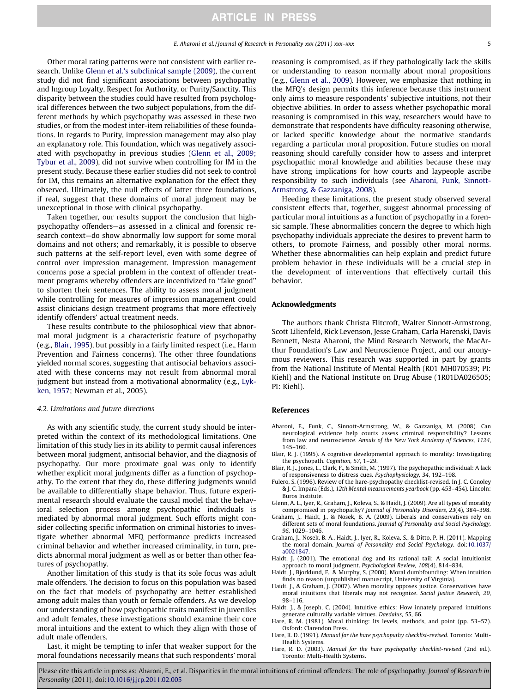<span id="page-4-0"></span>Other moral rating patterns were not consistent with earlier research. Unlike Glenn et al.'s subclinical sample (2009), the current study did not find significant associations between psychopathy and Ingroup Loyalty, Respect for Authority, or Purity/Sanctity. This disparity between the studies could have resulted from psychological differences between the two subject populations, from the different methods by which psychopathy was assessed in these two studies, or from the modest inter-item reliabilities of these foundations. In regards to Purity, impression management may also play an explanatory role. This foundation, which was negatively associated with psychopathy in previous studies (Glenn et al., 2009; Tybur et al., 2009), did not survive when controlling for IM in the present study. Because these earlier studies did not seek to control for IM, this remains an alternative explanation for the effect they observed. Ultimately, the null effects of latter three foundations, if real, suggest that these domains of moral judgment may be unexceptional in those with clinical psychopathy.

Taken together, our results support the conclusion that highpsychopathy offenders—as assessed in a clinical and forensic research context—do show abnormally low support for some moral domains and not others; and remarkably, it is possible to observe such patterns at the self-report level, even with some degree of control over impression management. Impression management concerns pose a special problem in the context of offender treatment programs whereby offenders are incentivized to ''fake good'' to shorten their sentences. The ability to assess moral judgment while controlling for measures of impression management could assist clinicians design treatment programs that more effectively identify offenders' actual treatment needs.

These results contribute to the philosophical view that abnormal moral judgment is a characteristic feature of psychopathy (e.g., Blair, 1995), but possibly in a fairly limited respect (i.e., Harm Prevention and Fairness concerns). The other three foundations yielded normal scores, suggesting that antisocial behaviors associated with these concerns may not result from abnormal moral judgment but instead from a motivational abnormality (e.g., [Lyk](#page-5-0)[ken, 1957;](#page-5-0) Newman et al., 2005).

## 4.2. Limitations and future directions

As with any scientific study, the current study should be interpreted within the context of its methodological limitations. One limitation of this study lies in its ability to permit causal inferences between moral judgment, antisocial behavior, and the diagnosis of psychopathy. Our more proximate goal was only to identify whether explicit moral judgments differ as a function of psychopathy. To the extent that they do, these differing judgments would be available to differentially shape behavior. Thus, future experimental research should evaluate the causal model that the behavioral selection process among psychopathic individuals is mediated by abnormal moral judgment. Such efforts might consider collecting specific information on criminal histories to investigate whether abnormal MFQ performance predicts increased criminal behavior and whether increased criminality, in turn, predicts abnormal moral judgment as well as or better than other features of psychopathy.

Another limitation of this study is that its sole focus was adult male offenders. The decision to focus on this population was based on the fact that models of psychopathy are better established among adult males than youth or female offenders. As we develop our understanding of how psychopathic traits manifest in juveniles and adult females, these investigations should examine their core moral intuitions and the extent to which they align with those of adult male offenders.

Last, it might be tempting to infer that weaker support for the moral foundations necessarily means that such respondents' moral reasoning is compromised, as if they pathologically lack the skills or understanding to reason normally about moral propositions (e.g., Glenn et al., 2009). However, we emphasize that nothing in the MFQ's design permits this inference because this instrument only aims to measure respondents' subjective intuitions, not their objective abilities. In order to assess whether psychopathic moral reasoning is compromised in this way, researchers would have to demonstrate that respondents have difficulty reasoning otherwise, or lacked specific knowledge about the normative standards regarding a particular moral proposition. Future studies on moral reasoning should carefully consider how to assess and interpret psychopathic moral knowledge and abilities because these may have strong implications for how courts and laypeople ascribe responsibility to such individuals (see Aharoni, Funk, Sinnott-Armstrong, & Gazzaniga, 2008).

Heeding these limitations, the present study observed several consistent effects that, together, suggest abnormal processing of particular moral intuitions as a function of psychopathy in a forensic sample. These abnormalities concern the degree to which high psychopathy individuals appreciate the desires to prevent harm to others, to promote Fairness, and possibly other moral norms. Whether these abnormalities can help explain and predict future problem behavior in these individuals will be a crucial step in the development of interventions that effectively curtail this behavior.

## Acknowledgments

The authors thank Christa Flitcroft, Walter Sinnott-Armstrong, Scott Lilienfeld, Rick Levenson, Jesse Graham, Carla Harenski, Davis Bennett, Nesta Aharoni, the Mind Research Network, the MacArthur Foundation's Law and Neuroscience Project, and our anonymous reviewers. This research was supported in part by grants from the National Institute of Mental Health (R01 MH070539; PI: Kiehl) and the National Institute on Drug Abuse (1R01DA026505; PI: Kiehl).

#### References

- Aharoni, E., Funk, C., Sinnott-Armstrong, W., & Gazzaniga, M. (2008). Can neurological evidence help courts assess criminal responsibility? Lessons from law and neuroscience. Annals of the New York Academy of Sciences, 1124, 145–160.
- Blair, R. J. (1995). A cognitive developmental approach to morality: Investigating the psychopath. Cognition, 57, 1–29.
- Blair, R. J., Jones, L., Clark, F., & Smith, M. (1997). The psychopathic individual: A lack of responsiveness to distress cues. Psychophysiology, 34, 192–198.
- Fulero, S. (1996). Review of the hare-psychopathy checklist-revised. In J. C. Conoley & J. C. Impara (Eds.), 12th Mental measurements yearbook (pp. 453–454). Lincoln: Buros Institute.
- Glenn, A. L., Iyer, R., Graham, J., Koleva, S., & Haidt, J. (2009). Are all types of morality compromised in psychopathy? Journal of Personality Disorders, 23(4), 384–398.
- Graham, J., Haidt, J., & Nosek, B. A. (2009). Liberals and conservatives rely on different sets of moral foundations. Journal of Personality and Social Psychology, 96, 1029–1046.
- Graham, J., Nosek, B. A., Haidt, J., Iyer, R., Koleva, S., & Ditto, P. H. (2011). Mapping the moral domain. Journal of Personality and Social Psychology. doi:[10.1037/](http://dx.doi.org/10.1037/a0021847) [a0021847](http://dx.doi.org/10.1037/a0021847).
- Haidt, J. (2001). The emotional dog and its rational tail: A social intuitionist approach to moral judgment. Psychological Review, 108(4), 814–834.
- Haidt, J., Bjorklund, F., & Murphy, S. (2000). Moral dumbfounding: When intuition finds no reason (unpublished manuscript, University of Virginia).
- Haidt, J., & Graham, J. (2007). When morality opposes justice. Conservatives have moral intuitions that liberals may not recognize. Social Justice Research, 20, 98–116.
- Haidt, J., & Joseph, C. (2004). Intuitive ethics: How innately prepared intuitions generate culturally variable virtues. Daedalus, 55, 66.
- Hare, R. M. (1981). Moral thinking: Its levels, methods, and point (pp. 53–57). Oxford: Clarendon Press.
- Hare, R. D. (1991). Manual for the hare psychopathy checklist-revised. Toronto: Multi-Health Systems.
- Hare, R. D. (2003). Manual for the hare psychopathy checklist-revised (2nd ed.). Toronto: Multi-Health Systems.